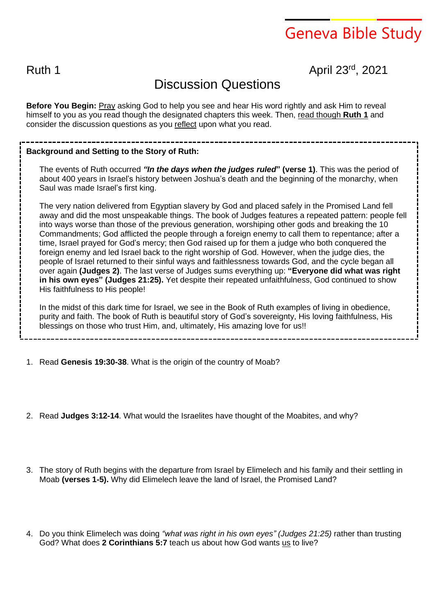# Geneva Bible Study

### Ruth 1 April 23<sup>rd</sup>, 2021

## Discussion Questions

**Before You Begin:** Pray asking God to help you see and hear His word rightly and ask Him to reveal himself to you as you read though the designated chapters this week. Then, read though **Ruth 1** and consider the discussion questions as you reflect upon what you read.

#### **Background and Setting to the Story of Ruth:**

The events of Ruth occurred *"In the days when the judges ruled***" (verse 1)**. This was the period of about 400 years in Israel's history between Joshua's death and the beginning of the monarchy, when Saul was made Israel's first king.

The very nation delivered from Egyptian slavery by God and placed safely in the Promised Land fell away and did the most unspeakable things. The book of Judges features a repeated pattern: people fell into ways worse than those of the previous generation, worshiping other gods and breaking the 10 Commandments; God afflicted the people through a foreign enemy to call them to repentance; after a time, Israel prayed for God's mercy; then God raised up for them a judge who both conquered the foreign enemy and led Israel back to the right worship of God. However, when the judge dies, the people of Israel returned to their sinful ways and faithlessness towards God, and the cycle began all over again **(Judges 2)**. The last verse of Judges sums everything up: **"Everyone did what was right in his own eyes" (Judges 21:25).** Yet despite their repeated unfaithfulness, God continued to show His faithfulness to His people!

In the midst of this dark time for Israel, we see in the Book of Ruth examples of living in obedience, purity and faith. The book of Ruth is beautiful story of God's sovereignty, His loving faithfulness, His blessings on those who trust Him, and, ultimately, His amazing love for us!!

- 1. Read **Genesis 19:30-38**. What is the origin of the country of Moab?
- 2. Read **Judges 3:12-14**. What would the Israelites have thought of the Moabites, and why?
- 3. The story of Ruth begins with the departure from Israel by Elimelech and his family and their settling in Moab **(verses 1-5).** Why did Elimelech leave the land of Israel, the Promised Land?
- 4. Do you think Elimelech was doing *"what was right in his own eyes" (Judges 21:25)* rather than trusting God? What does **2 Corinthians 5:7** teach us about how God wants us to live?